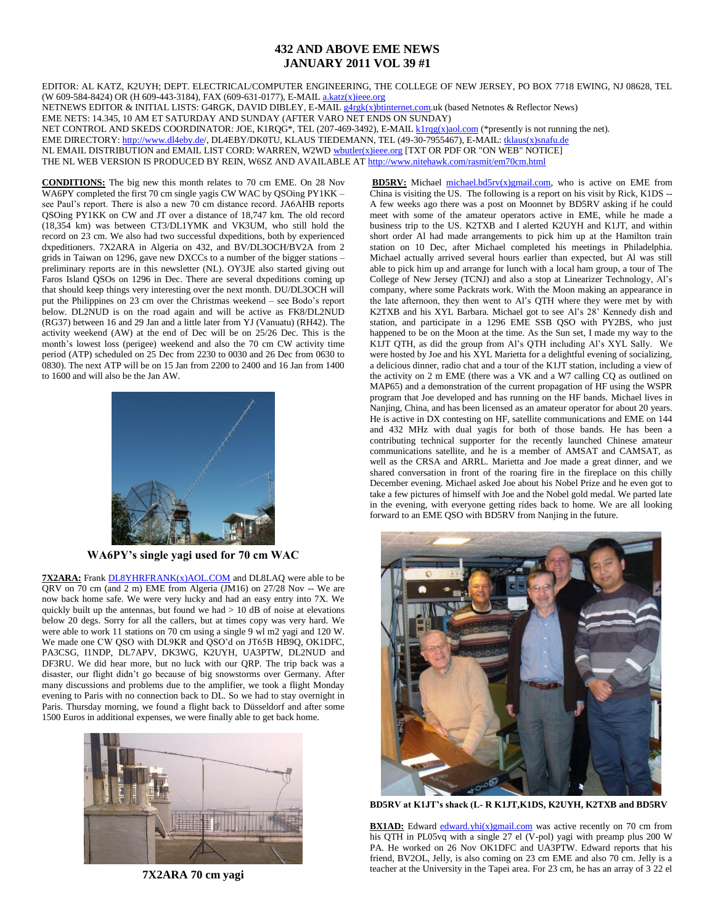## **432 AND ABOVE EME NEWS JANUARY 2011 VOL 39 #1**

EDITOR: AL KATZ, K2UYH; DEPT. ELECTRICAL/COMPUTER ENGINEERING, THE COLLEGE OF NEW JERSEY, PO BOX 7718 EWING, NJ 08628, TEL (W 609-584-8424) OR (H 609-443-3184), FAX (609-631-0177), E-MAI[L a.katz\(x\)ieee.org](mailto:a.katz@ieee.org) NETNEWS EDITOR & INITIAL LISTS: G4RGK, DAVID DIBLEY, E-MAI[L g4rgk\(x\)btinternet.com.u](mailto:g4rgk@btinternet.com)k (based Netnotes & Reflector News) EME NETS: 14.345, 10 AM ET SATURDAY AND SUNDAY (AFTER VARO NET ENDS ON SUNDAY) NET CONTROL AND SKEDS COORDINATOR: JOE, K1RQG\*, TEL (207-469-3492), E-MAI[L k1rqg\(x\)aol.com](mailto:k1rqg@aol.com) (\*presently is not running the net). EME DIRECTORY: [http://www.dl4eby.de/,](http://www.dl4eby.de/) DL4EBY/DK0TU, KLAUS TIEDEMANN, TEL (49-30-7955467), E-MAIL[: tklaus\(x\)snafu.de](mailto:tklaus@snafu.de) NL EMAIL DISTRIBUTION and EMAIL LIST CORD: WARREN, W2WD [wbutler\(x\)ieee.org](mailto:wbutler@ieee.org) [TXT OR PDF OR "ON WEB" NOTICE] THE NL WEB VERSION IS PRODUCED BY REIN, W6SZ AND AVAILABLE A[T http://www.nitehawk.com/rasmit/em70cm.html](http://www.nitehawk.com/rasmit/em70cm.html)

**CONDITIONS:** The big new this month relates to 70 cm EME. On 28 Nov WA6PY completed the first 70 cm single yagis CW WAC by QSOing PY1KK – see Paul's report. There is also a new 70 cm distance record. JA6AHB reports QSOing PY1KK on CW and JT over a distance of 18,747 km. The old record (18,354 km) was between CT3/DL1YMK and VK3UM, who still hold the record on 23 cm. We also had two successful dxpeditions, both by experienced dxpeditioners. 7X2ARA in Algeria on 432, and BV/DL3OCH/BV2A from 2 grids in Taiwan on 1296, gave new DXCCs to a number of the bigger stations – preliminary reports are in this newsletter (NL). OY3JE also started giving out Faros Island QSOs on 1296 in Dec. There are several dxpeditions coming up that should keep things very interesting over the next month. DU/DL3OCH will put the Philippines on 23 cm over the Christmas weekend – see Bodo's report below. DL2NUD is on the road again and will be active as FK8/DL2NUD (RG37) between 16 and 29 Jan and a little later from YJ (Vanuatu) (RH42). The activity weekend (AW) at the end of Dec will be on 25/26 Dec. This is the month's lowest loss (perigee) weekend and also the 70 cm CW activity time period (ATP) scheduled on 25 Dec from 2230 to 0030 and 26 Dec from 0630 to 0830). The next ATP will be on 15 Jan from 2200 to 2400 and 16 Jan from 1400 to 1600 and will also be the Jan AW.



**WA6PY's single yagi used for 70 cm WAC** 

**7X2ARA:** Frank **DL8YHRFRANK(x)AOL.COM** and DL8LAQ were able to be QRV on 70 cm (and 2 m) EME from Algeria (JM16) on 27/28 Nov -- We are now back home safe. We were very lucky and had an easy entry into 7X. We quickly built up the antennas, but found we had  $> 10$  dB of noise at elevations below 20 degs. Sorry for all the callers, but at times copy was very hard. We were able to work 11 stations on 70 cm using a single 9 wl m2 yagi and 120 W. We made one CW QSO with DL9KR and QSO'd on JT65B HB9Q, OK1DFC, PA3CSG, I1NDP, DL7APV, DK3WG, K2UYH, UA3PTW, DL2NUD and DF3RU. We did hear more, but no luck with our QRP. The trip back was a disaster, our flight didn't go because of big snowstorms over Germany. After many discussions and problems due to the amplifier, we took a flight Monday evening to Paris with no connection back to DL. So we had to stay overnight in Paris. Thursday morning, we found a flight back to Düsseldorf and after some 1500 Euros in additional expenses, we were finally able to get back home.



**7X2ARA 70 cm yagi** 

**BD5RV:** Michael [michael.bd5rv\(x\)gmail.com,](mailto:michael.bd5rv@gmail.com) who is active on EME from China is visiting the US. The following is a report on his visit by Rick, K1DS -- A few weeks ago there was a post on Moonnet by BD5RV asking if he could meet with some of the amateur operators active in EME, while he made a business trip to the US. K2TXB and I alerted K2UYH and K1JT, and within short order Al had made arrangements to pick him up at the Hamilton train station on 10 Dec, after Michael completed his meetings in Philadelphia. Michael actually arrived several hours earlier than expected, but Al was still able to pick him up and arrange for lunch with a local ham group, a tour of The College of New Jersey (TCNJ) and also a stop at Linearizer Technology, Al's company, where some Packrats work. With the Moon making an appearance in the late afternoon, they then went to Al's QTH where they were met by with K2TXB and his XYL Barbara. Michael got to see Al's 28' Kennedy dish and station, and participate in a 1296 EME SSB QSO with PY2BS, who just happened to be on the Moon at the time. As the Sun set, I made my way to the K1JT QTH, as did the group from Al's QTH including Al's XYL Sally. We were hosted by Joe and his XYL Marietta for a delightful evening of socializing, a delicious dinner, radio chat and a tour of the K1JT station, including a view of the activity on 2 m EME (there was a VK and a W7 calling CQ as outlined on MAP65) and a demonstration of the current propagation of HF using the WSPR program that Joe developed and has running on the HF bands. Michael lives in Nanjing, China, and has been licensed as an amateur operator for about 20 years. He is active in DX contesting on HF, satellite communications and EME on 144 and 432 MHz with dual yagis for both of those bands. He has been a contributing technical supporter for the recently launched Chinese amateur communications satellite, and he is a member of AMSAT and CAMSAT, as well as the CRSA and ARRL. Marietta and Joe made a great dinner, and we shared conversation in front of the roaring fire in the fireplace on this chilly December evening. Michael asked Joe about his Nobel Prize and he even got to take a few pictures of himself with Joe and the Nobel gold medal. We parted late in the evening, with everyone getting rides back to home. We are all looking forward to an EME QSO with BD5RV from Nanjing in the future.



**BD5RV at K1JT's shack (L- R K1JT,K1DS, K2UYH, K2TXB and BD5RV**

**BX1AD:** Edward [edward.yhi\(x\)gmail.com](mailto:edward.yhi@gmail.com) was active recently on 70 cm from his QTH in PL05vq with a single 27 el (V-pol) yagi with preamp plus 200 W PA. He worked on 26 Nov OK1DFC and UA3PTW. Edward reports that his friend, BV2OL, Jelly, is also coming on 23 cm EME and also 70 cm. Jelly is a teacher at the University in the Tapei area. For 23 cm, he has an array of 3 22 el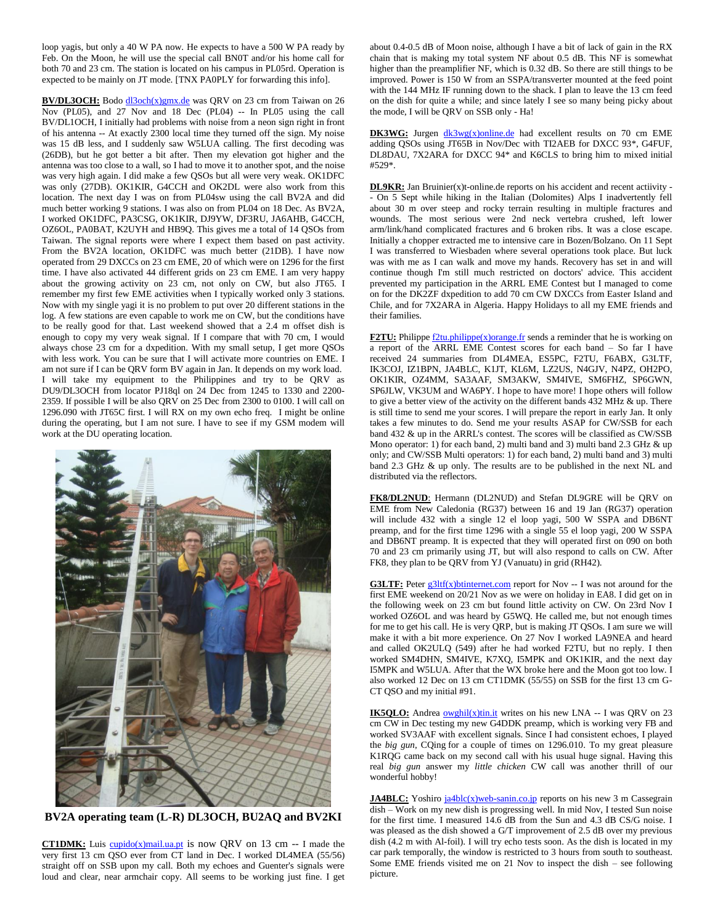loop yagis, but only a 40 W PA now. He expects to have a 500 W PA ready by Feb. On the Moon, he will use the special call BN0T and/or his home call for both 70 and 23 cm. The station is located on his campus in PL05rd. Operation is expected to be mainly on JT mode. [TNX PA0PLY for forwarding this info].

**BV/DL3OCH:** Bod[o dl3och\(x\)gmx.de](mailto:dl3och@gmx.de) was QRV on 23 cm from Taiwan on 26 Nov (PL05), and 27 Nov and 18 Dec (PL04) -- In PL05 using the call BV/DL1OCH, I initially had problems with noise from a neon sign right in front of his antenna -- At exactly 2300 local time they turned off the sign. My noise was 15 dB less, and I suddenly saw W5LUA calling. The first decoding was (26DB), but he got better a bit after. Then my elevation got higher and the antenna was too close to a wall, so I had to move it to another spot, and the noise was very high again. I did make a few QSOs but all were very weak. OK1DFC was only (27DB). OK1KIR, G4CCH and OK2DL were also work from this location. The next day I was on from PL04sw using the call BV2A and did much better working 9 stations. I was also on from PL04 on 18 Dec. As BV2A, I worked OK1DFC, PA3CSG, OK1KIR, DJ9YW, DF3RU, JA6AHB, G4CCH, OZ6OL, PA0BAT, K2UYH and HB9Q. This gives me a total of 14 QSOs from Taiwan. The signal reports were where I expect them based on past activity. From the BV2A location, OK1DFC was much better (21DB). I have now operated from 29 DXCCs on 23 cm EME, 20 of which were on 1296 for the first time. I have also activated 44 different grids on 23 cm EME. I am very happy about the growing activity on 23 cm, not only on CW, but also JT65. I remember my first few EME activities when I typically worked only 3 stations. Now with my single yagi it is no problem to put over 20 different stations in the log. A few stations are even capable to work me on CW, but the conditions have to be really good for that. Last weekend showed that a 2.4 m offset dish is enough to copy my very weak signal. If I compare that with 70 cm, I would always chose 23 cm for a dxpedition. With my small setup, I get more QSOs with less work. You can be sure that I will activate more countries on EME. I am not sure if I can be QRV form BV again in Jan. It depends on my work load. I will take my equipment to the Philippines and try to be QRV as DU9/DL3OCH from locator PJ18ql on 24 Dec from 1245 to 1330 and 2200- 2359. If possible I will be also QRV on 25 Dec from 2300 to 0100. I will call on 1296.090 with JT65C first. I will RX on my own echo freq. I might be online during the operating, but I am not sure. I have to see if my GSM modem will work at the DU operating location.



**BV2A operating team (L-R) DL3OCH, BU2AQ and BV2KI**

**CT1DMK:** Luis [cupido\(x\)mail.ua.pt](mailto:cupido@mail.ua.pt) is now QRV on 13 cm -- I made the very first 13 cm QSO ever from CT land in Dec. I worked DL4MEA (55/56) straight off on SSB upon my call. Both my echoes and Guenter's signals were loud and clear, near armchair copy. All seems to be working just fine. I get about 0.4-0.5 dB of Moon noise, although I have a bit of lack of gain in the RX chain that is making my total system NF about 0.5 dB. This NF is somewhat higher than the preamplifier NF, which is 0.32 dB. So there are still things to be improved. Power is 150 W from an SSPA/transverter mounted at the feed point with the 144 MHz IF running down to the shack. I plan to leave the 13 cm feed on the dish for quite a while; and since lately I see so many being picky about the mode, I will be QRV on SSB only - Ha!

**DK3WG:** Jurgen  $dk3wg(x)$ online.de had excellent results on 70 cm EME adding QSOs using JT65B in Nov/Dec with TI2AEB for DXCC 93\*, G4FUF, DL8DAU, 7X2ARA for DXCC 94\* and K6CLS to bring him to mixed initial #529\*.

**DL9KR:** Jan Bruinier(x)t-online.de reports on his accident and recent actiivity -- On 5 Sept while hiking in the Italian (Dolomites) Alps I inadvertently fell about 30 m over steep and rocky terrain resulting in multiple fractures and wounds. The most serious were 2nd neck vertebra crushed, left lower arm/link/hand complicated fractures and 6 broken ribs. It was a close escape. Initially a chopper extracted me to intensive care in Bozen/Bolzano. On 11 Sept I was transferred to Wiesbaden where several operations took place. But luck was with me as I can walk and move my hands. Recovery has set in and will continue though I'm still much restricted on doctors' advice. This accident prevented my participation in the ARRL EME Contest but I managed to come on for the DK2ZF dxpedition to add 70 cm CW DXCCs from Easter Island and Chile, and for 7X2ARA in Algeria. Happy Holidays to all my EME friends and their families.

**F2TU:** Philippe  $\frac{f2tu\text{-}philippe(x)orange\text{-}fr}{dx}$  sends a reminder that he is working on a report of the ARRL EME Contest scores for each band – So far I have received 24 summaries from DL4MEA, ES5PC, F2TU, F6ABX, G3LTF, IK3COJ, IZ1BPN, JA4BLC, K1JT, KL6M, LZ2US, N4GJV, N4PZ, OH2PO, OK1KIR, OZ4MM, SA3AAF, SM3AKW, SM4IVE, SM6FHZ, SP6GWN, SP6JLW, VK3UM and WA6PY. I hope to have more! I hope others will follow to give a better view of the activity on the different bands 432 MHz & up. There is still time to send me your scores. I will prepare the report in early Jan. It only takes a few minutes to do. Send me your results ASAP for CW/SSB for each band 432 & up in the ARRL's contest. The scores will be classified as CW/SSB Mono operator: 1) for each band, 2) multi band and 3) multi band 2.3 GHz & up only; and CW/SSB Multi operators: 1) for each band, 2) multi band and 3) multi band 2.3 GHz & up only. The results are to be published in the next NL and distributed via the reflectors.

**FK8/DL2NUD**: Hermann (DL2NUD) and Stefan DL9GRE will be QRV on EME from New Caledonia (RG37) between 16 and 19 Jan (RG37) operation will include 432 with a single 12 el loop yagi, 500 W SSPA and DB6NT preamp, and for the first time 1296 with a single 55 el loop yagi, 200 W SSPA and DB6NT preamp. It is expected that they will operated first on 090 on both 70 and 23 cm primarily using JT, but will also respond to calls on CW. After FK8, they plan to be QRV from YJ (Vanuatu) in grid (RH42).

**G3LTF:** Peter  $g3ltf(x)$ btinternet.com report for Nov -- I was not around for the first EME weekend on 20/21 Nov as we were on holiday in EA8. I did get on in the following week on 23 cm but found little activity on CW. On 23rd Nov I worked OZ6OL and was heard by G5WQ. He called me, but not enough times for me to get his call. He is very QRP, but is making JT QSOs. I am sure we will make it with a bit more experience. On 27 Nov I worked LA9NEA and heard and called OK2ULQ (549) after he had worked F2TU, but no reply. I then worked SM4DHN, SM4IVE, K7XQ, I5MPK and OK1KIR, and the next day I5MPK and W5LUA. After that the WX broke here and the Moon got too low. I also worked 12 Dec on 13 cm CT1DMK (55/55) on SSB for the first 13 cm G-CT QSO and my initial #91.

**IK5QLO:** Andrea **owghil(x)tin.it** writes on his new LNA -- I was QRV on 23 cm CW in Dec testing my new G4DDK preamp, which is working very FB and worked SV3AAF with excellent signals. Since I had consistent echoes, I played the *big gun*, CQing for a couple of times on 1296.010. To my great pleasure K1RQG came back on my second call with his usual huge signal. Having this real *big gun* answer my *little chicken* CW call was another thrill of our wonderful hobby!

**JA4BLC:** Yoshir[o ja4blc\(x\)web-sanin.co.jp](mailto:ja4blc@web-sanin.co.jp) reports on his new 3 m Cassegrain dish – Work on my new dish is progressing well. In mid Nov, I tested Sun noise for the first time. I measured 14.6 dB from the Sun and 4.3 dB CS/G noise. I was pleased as the dish showed a G/T improvement of 2.5 dB over my previous dish (4.2 m with Al-foil). I will try echo tests soon. As the dish is located in my car park temporally, the window is restricted to 3 hours from south to southeast. Some EME friends visited me on 21 Nov to inspect the dish – see following picture.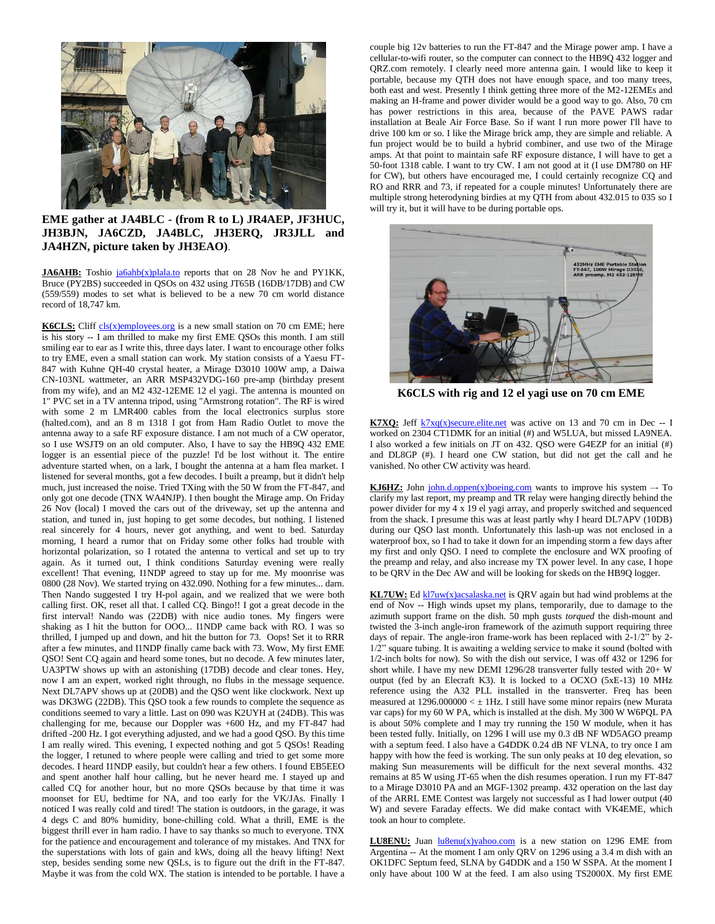

## **EME gather at JA4BLC - (from R to L) JR4AEP, JF3HUC, JH3BJN, JA6CZD, JA4BLC, JH3ERQ, JR3JLL and JA4HZN, picture taken by JH3EAO)**.

**JA6AHB:** Toshio [ja6ahb\(x\)plala.to](mailto:ja6ahb@plala.to) reports that on 28 Nov he and PY1KK, Bruce (PY2BS) succeeded in QSOs on 432 using JT65B (16DB/17DB) and CW (559/559) modes to set what is believed to be a new 70 cm world distance record of 18,747 km.

**K6CLS:** Clif[f cls\(x\)employees.org](mailto:cls@employees.org) is a new small station on 70 cm EME; here is his story -- I am thrilled to make my first EME QSOs this month. I am still smiling ear to ear as I write this, three days later. I want to encourage other folks to try EME, even a small station can work. My station consists of a Yaesu FT-847 with Kuhne QH-40 crystal heater, a Mirage D3010 100W amp, a Daiwa CN-103NL wattmeter, an ARR MSP432VDG-160 pre-amp (birthday present from my wife), and an M2 432-12EME 12 el yagi. The antenna is mounted on 1" PVC set in a TV antenna tripod, using "Armstrong rotation". The RF is wired with some 2 m LMR400 cables from the local electronics surplus store (halted.com), and an 8 m 1318 I got from Ham Radio Outlet to move the antenna away to a safe RF exposure distance. I am not much of a CW operator, so I use WSJT9 on an old computer. Also, I have to say the HB9Q 432 EME logger is an essential piece of the puzzle! I'd be lost without it. The entire adventure started when, on a lark, I bought the antenna at a ham flea market. I listened for several months, got a few decodes. I built a preamp, but it didn't help much, just increased the noise. Tried TXing with the 50 W from the FT-847, and only got one decode (TNX WA4NJP). I then bought the Mirage amp. On Friday 26 Nov (local) I moved the cars out of the driveway, set up the antenna and station, and tuned in, just hoping to get some decodes, but nothing. I listened real sincerely for 4 hours, never got anything, and went to bed. Saturday morning, I heard a rumor that on Friday some other folks had trouble with horizontal polarization, so I rotated the antenna to vertical and set up to try again. As it turned out, I think conditions Saturday evening were really excellent! That evening, I1NDP agreed to stay up for me. My moonrise was 0800 (28 Nov). We started trying on 432.090. Nothing for a few minutes... darn. Then Nando suggested I try H-pol again, and we realized that we were both calling first. OK, reset all that. I called CQ. Bingo!! I got a great decode in the first interval! Nando was (22DB) with nice audio tones. My fingers were shaking as I hit the button for OOO... I1NDP came back with RO. I was so thrilled, I jumped up and down, and hit the button for 73. Oops! Set it to RRR after a few minutes, and I1NDP finally came back with 73. Wow, My first EME QSO! Sent CQ again and heard some tones, but no decode. A few minutes later, UA3PTW shows up with an astonishing (17DB) decode and clear tones. Hey, now I am an expert, worked right through, no flubs in the message sequence. Next DL7APV shows up at (20DB) and the QSO went like clockwork. Next up was DK3WG (22DB). This QSO took a few rounds to complete the sequence as conditions seemed to vary a little. Last on 090 was K2UYH at (24DB). This was challenging for me, because our Doppler was +600 Hz, and my FT-847 had drifted -200 Hz. I got everything adjusted, and we had a good QSO. By this time I am really wired. This evening, I expected nothing and got 5 QSOs! Reading the logger, I retuned to where people were calling and tried to get some more decodes. I heard I1NDP easily, but couldn't hear a few others. I found EB5EEO and spent another half hour calling, but he never heard me. I stayed up and called CQ for another hour, but no more QSOs because by that time it was moonset for EU, bedtime for NA, and too early for the VK/JAs. Finally I noticed I was really cold and tired! The station is outdoors, in the garage, it was 4 degs C and 80% humidity, bone-chilling cold. What a thrill, EME is the biggest thrill ever in ham radio. I have to say thanks so much to everyone. TNX for the patience and encouragement and tolerance of my mistakes. And TNX for the superstations with lots of gain and kWs, doing all the heavy lifting! Next step, besides sending some new QSLs, is to figure out the drift in the FT-847. Maybe it was from the cold WX. The station is intended to be portable. I have a couple big 12v batteries to run the FT-847 and the Mirage power amp. I have a cellular-to-wifi router, so the computer can connect to the HB9Q 432 logger and QRZ.com remotely. I clearly need more antenna gain. I would like to keep it portable, because my QTH does not have enough space, and too many trees, both east and west. Presently I think getting three more of the M2-12EMEs and making an H-frame and power divider would be a good way to go. Also, 70 cm has power restrictions in this area, because of the PAVE PAWS radar installation at Beale Air Force Base. So if want I run more power I'll have to drive 100 km or so. I like the Mirage brick amp, they are simple and reliable. A fun project would be to build a hybrid combiner, and use two of the Mirage amps. At that point to maintain safe RF exposure distance, I will have to get a 50-foot 1318 cable. I want to try CW. I am not good at it (I use DM780 on HF for CW), but others have encouraged me, I could certainly recognize CQ and RO and RRR and 73, if repeated for a couple minutes! Unfortunately there are multiple strong heterodyning birdies at my QTH from about 432.015 to 035 so I will try it, but it will have to be during portable ops.



**K6CLS with rig and 12 el yagi use on 70 cm EME**

**K7XQ:** Jeff  $k7xq(x)$ secure.elite.net was active on 13 and 70 cm in Dec -- I worked on 2304 CT1DMK for an initial (#) and W5LUA, but missed LA9NEA. I also worked a few initials on JT on 432. QSO were G4EZP for an initial (#) and DL8GP (#). I heard one CW station, but did not get the call and he vanished. No other CW activity was heard.

**KJ6HZ:** John  $\overline{\text{iohn.d.}}$  $\text{open}(x)$  $\overline{\text{boeing.com}}$  wants to improve his system  $-$  To clarify my last report, my preamp and TR relay were hanging directly behind the power divider for my 4 x 19 el yagi array, and properly switched and sequenced from the shack. I presume this was at least partly why I heard DL7APV (10DB) during our QSO last month. Unfortunately this lash-up was not enclosed in a waterproof box, so I had to take it down for an impending storm a few days after my first and only QSO. I need to complete the enclosure and WX proofing of the preamp and relay, and also increase my TX power level. In any case, I hope to be QRV in the Dec AW and will be looking for skeds on the HB9Q logger.

**KL7UW:** E[d kl7uw\(x\)acsalaska.net](mailto:kl7uw@acsalaska.net) is QRV again but had wind problems at the end of Nov -- High winds upset my plans, temporarily, due to damage to the azimuth support frame on the dish. 50 mph gusts *torqued* the dish-mount and twisted the 3-inch angle-iron framework of the azimuth support requiring three days of repair. The angle-iron frame-work has been replaced with 2-1/2" by 2- 1/2" square tubing. It is awaiting a welding service to make it sound (bolted with 1/2-inch bolts for now). So with the dish out service, I was off 432 or 1296 for short while. I have my new DEMI 1296/28 transverter fully tested with 20+ W output (fed by an Elecraft K3). It is locked to a OCXO (5xE-13) 10 MHz reference using the A32 PLL installed in the transverter. Freq has been measured at  $1296.000000 < \pm 1$  Hz. I still have some minor repairs (new Murata var caps) for my 60 W PA, which is installed at the dish. My 300 W W6PQL PA is about 50% complete and I may try running the 150 W module, when it has been tested fully. Initially, on 1296 I will use my 0.3 dB NF WD5AGO preamp with a septum feed. I also have a G4DDK 0.24 dB NF VLNA, to try once I am happy with how the feed is working. The sun only peaks at 10 deg elevation, so making Sun measurements will be difficult for the next several months. 432 remains at 85 W using JT-65 when the dish resumes operation. I run my FT-847 to a Mirage D3010 PA and an MGF-1302 preamp. 432 operation on the last day of the ARRL EME Contest was largely not successful as I had lower output (40 W) and severe Faraday effects. We did make contact with VK4EME, which took an hour to complete.

**LU8ENU:** Juan  $\frac{\ln 8 - \ln x}{x}$  is a new station on 1296 EME from Argentina -- At the moment I am only QRV on 1296 using a 3.4 m dish with an OK1DFC Septum feed, SLNA by G4DDK and a 150 W SSPA. At the moment I only have about 100 W at the feed. I am also using TS2000X. My first EME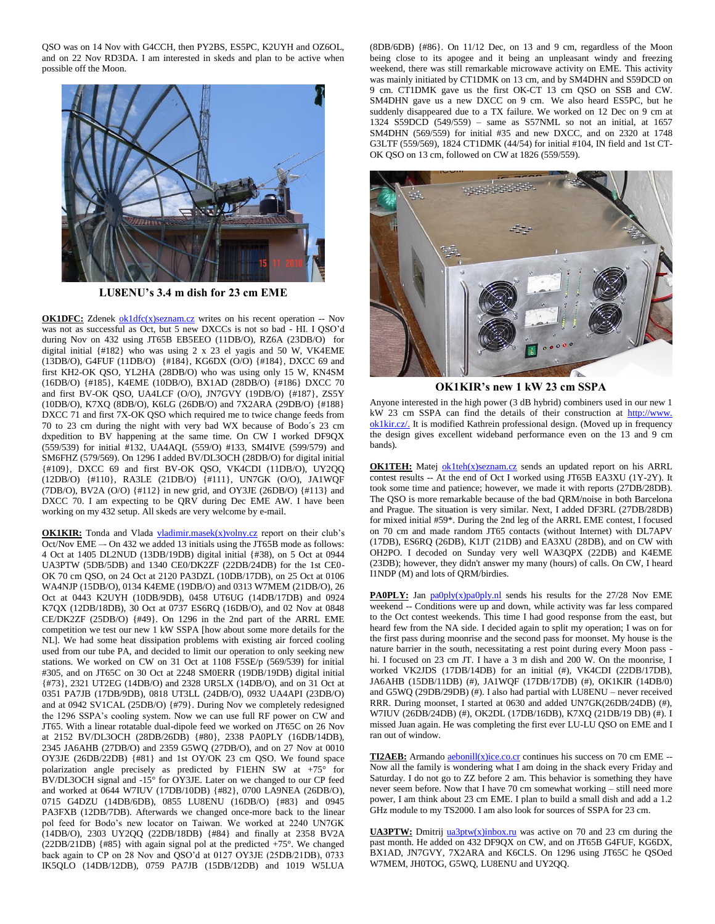QSO was on 14 Nov with G4CCH, then PY2BS, ES5PC, K2UYH and OZ6OL, and on 22 Nov RD3DA. I am interested in skeds and plan to be active when possible off the Moon.



**LU8ENU's 3.4 m dish for 23 cm EME**

**OK1DFC:** Zdenek [ok1dfc\(x\)seznam.cz](mailto:ok1dfc@seznam.cz) writes on his recent operation -- Nov was not as successful as Oct, but 5 new DXCCs is not so bad - HI. I QSO'd during Nov on 432 using JT65B EB5EEO (11DB/O), RZ6A (23DB/O) for digital initial {#182} who was using 2 x 23 el yagis and 50 W, VK4EME (13DB/O), G4FUF (11DB/O) {#184}, KG6DX (O/O) {#184}, DXCC 69 and first KH2-OK QSO, YL2HA (28DB/O) who was using only 15 W, KN4SM (16DB/O) {#185}, K4EME (10DB/O), BX1AD (28DB/O) {#186} DXCC 70 and first BV-OK QSO, UA4LCF (O/O), JN7GVY (19DB/O) {#187}, ZS5Y (10DB/O), K7XQ (8DB/O), K6LG (26DB/O) and 7X2ARA (29DB/O) {#188} DXCC 71 and first 7X-OK QSO which required me to twice change feeds from 70 to 23 cm during the night with very bad WX because of Bodo´s 23 cm dxpedition to BV happening at the same time. On CW I worked DF9QX (559/539) for initial #132, UA4AQL (559/O) #133, SM4IVE (599/579) and SM6FHZ (579/569). On 1296 I added BV/DL3OCH (28DB/O) for digital initial {#109}, DXCC 69 and first BV-OK QSO, VK4CDI (11DB/O), UY2QQ (12DB/O) {#110}, RA3LE (21DB/O) {#111}, UN7GK (O/O), JA1WQF (7DB/O), BV2A (O/O) {#112} in new grid, and OY3JE (26DB/O) {#113} and DXCC 70. I am expecting to be QRV during Dec EME AW. I have been working on my 432 setup. All skeds are very welcome by e-mail.

**OK1KIR:** Tonda and Vlada [vladimir.masek\(x\)volny.cz](mailto:vladimir.masek@volny.cz) report on their club's Oct/Nov EME –- On 432 we added 13 initials using the JT65B mode as follows: 4 Oct at 1405 DL2NUD (13DB/19DB) digital initial {#38), on 5 Oct at 0944 UA3PTW (5DB/5DB) and 1340 CE0/DK2ZF (22DB/24DB) for the 1st CE0- OK 70 cm QSO, on 24 Oct at 2120 PA3DZL (10DB/17DB), on 25 Oct at 0106 WA4NJP (15DB/O), 0134 K4EME (19DB/O) and 0313 W7MEM (21DB/O), 26 Oct at 0443 K2UYH (10DB/9DB), 0458 UT6UG (14DB/17DB) and 0924 K7QX (12DB/18DB), 30 Oct at 0737 ES6RQ (16DB/O), and 02 Nov at 0848 CE/DK2ZF (25DB/O) {#49}. On 1296 in the 2nd part of the ARRL EME competition we test our new 1 kW SSPA [how about some more details for the NL]. We had some heat dissipation problems with existing air forced cooling used from our tube PA, and decided to limit our operation to only seeking new stations. We worked on CW on 31 Oct at 1108 F5SE/p (569/539) for initial #305, and on JT65C on 30 Oct at 2248 SM0ERR (19DB/19DB) digital initial {#73}, 2321 UT2EG (14DB/O) and 2328 UR5LX (14DB/O), and on 31 Oct at 0351 PA7JB (17DB/9DB), 0818 UT3LL (24DB/O), 0932 UA4API (23DB/O) and at 0942 SV1CAL (25DB/O) {#79}. During Nov we completely redesigned the 1296 SSPA's cooling system. Now we can use full RF power on CW and JT65. With a linear rotatable dual-dipole feed we worked on JT65C on 26 Nov at 2152 BV/DL3OCH (28DB/26DB) {#80}, 2338 PA0PLY (16DB/14DB), 2345 JA6AHB (27DB/O) and 2359 G5WQ (27DB/O), and on 27 Nov at 0010 OY3JE (26DB/22DB) {#81} and 1st OY/OK 23 cm QSO. We found space polarization angle precisely as predicted by F1EHN SW at +75° for BV/DL3OCH signal and -15° for OY3JE. Later on we changed to our CP feed and worked at 0644 W7IUV (17DB/10DB) {#82}, 0700 LA9NEA (26DB/O), 0715 G4DZU (14DB/6DB), 0855 LU8ENU (16DB/O) {#83} and 0945 PA3FXB (12DB/7DB). Afterwards we changed once-more back to the linear pol feed for Bodo's new locator on Taiwan. We worked at 2240 UN7GK (14DB/O), 2303 UY2QQ (22DB/18DB) {#84} and finally at 2358 BV2A (22DB/21DB) {#85} with again signal pol at the predicted +75°. We changed back again to CP on 28 Nov and QSO'd at 0127 OY3JE (25DB/21DB), 0733 IK5QLO (14DB/12DB), 0759 PA7JB (15DB/12DB) and 1019 W5LUA (8DB/6DB) {#86}. On 11/12 Dec, on 13 and 9 cm, regardless of the Moon being close to its apogee and it being an unpleasant windy and freezing weekend, there was still remarkable microwave activity on EME. This activity was mainly initiated by CT1DMK on 13 cm, and by SM4DHN and S59DCD on 9 cm. CT1DMK gave us the first OK-CT 13 cm QSO on SSB and CW. SM4DHN gave us a new DXCC on 9 cm. We also heard ES5PC, but he suddenly disappeared due to a TX failure. We worked on 12 Dec on 9 cm at 1324 S59DCD (549/559) – same as S57NML so not an initial, at 1657 SM4DHN (569/559) for initial #35 and new DXCC, and on 2320 at 1748 G3LTF (559/569), 1824 CT1DMK (44/54) for initial #104, IN field and 1st CT-OK QSO on 13 cm, followed on CW at 1826 (559/559).



**OK1KIR's new 1 kW 23 cm SSPA**

Anyone interested in the high power (3 dB hybrid) combiners used in our new 1 kW 23 cm SSPA can find the details of their construction at http://www. ok1kir.cz/. It is modified Kathrein professional design. (Moved up in frequency the design gives excellent wideband performance even on the 13 and 9 cm bands).

**OK1TEH:** Matej [ok1teh\(x\)seznam.cz](mailto:ok1teh@seznam.cz) sends an updated report on his ARRL contest results -- At the end of Oct I worked using JT65B EA3XU (1Y-2Y). It took some time and patience; however, we made it with reports (27DB/28DB). The QSO is more remarkable because of the bad QRM/noise in both Barcelona and Prague. The situation is very similar. Next, I added DF3RL (27DB/28DB) for mixed initial #59\*. During the 2nd leg of the ARRL EME contest, I focused on 70 cm and made random JT65 contacts (without Internet) with DL7APV (17DB), ES6RQ (26DB), K1JT (21DB) and EA3XU (28DB), and on CW with OH2PO. I decoded on Sunday very well WA3QPX (22DB) and K4EME (23DB); however, they didn't answer my many (hours) of calls. On CW, I heard I1NDP (M) and lots of QRM/birdies.

**PA0PLY:** Jan [pa0ply\(x\)pa0ply.nl](mailto:pa0ply@pa0ply.nl) sends his results for the 27/28 Nov EME weekend -- Conditions were up and down, while activity was far less compared to the Oct contest weekends. This time I had good response from the east, but heard few from the NA side. I decided again to split my operation; I was on for the first pass during moonrise and the second pass for moonset. My house is the nature barrier in the south, necessitating a rest point during every Moon pass hi. I focused on 23 cm JT. I have a 3 m dish and 200 W. On the moonrise, I worked VK2JDS (17DB/14DB) for an initial (#), VK4CDI (22DB/17DB), JA6AHB (15DB/11DB) (#), JA1WQF (17DB/17DB) (#), OK1KIR (14DB/0) and G5WQ (29DB/29DB) (#). I also had partial with LU8ENU – never received RRR. During moonset, I started at 0630 and added UN7GK(26DB/24DB) (#), W7IUV (26DB/24DB) (#), OK2DL (17DB/16DB), K7XQ (21DB/19 DB) (#). I missed Juan again. He was completing the first ever LU-LU QSO on EME and I ran out of window.

**TI2AEB:** Armando  $\frac{\text{aebonill}(x)\text{ice.co.cr}}{\text{continuous}}$  continues his success on 70 cm EME --Now all the family is wondering what I am doing in the shack every Friday and Saturday. I do not go to ZZ before 2 am. This behavior is something they have never seem before. Now that I have 70 cm somewhat working – still need more power, I am think about 23 cm EME. I plan to build a small dish and add a 1.2 GHz module to my TS2000. I am also look for sources of SSPA for 23 cm.

**UA3PTW:** Dmitrij [ua3ptw\(x\)inbox.ru](mailto:ua3ptw@inbox.ru) was active on 70 and 23 cm during the past month. He added on 432 DF9QX on CW, and on JT65B G4FUF, KG6DX, BX1AD, JN7GVY, 7X2ARA and K6CLS. On 1296 using JT65C he QSOed W7MEM, JH0TOG, G5WQ, LU8ENU and UY2QQ.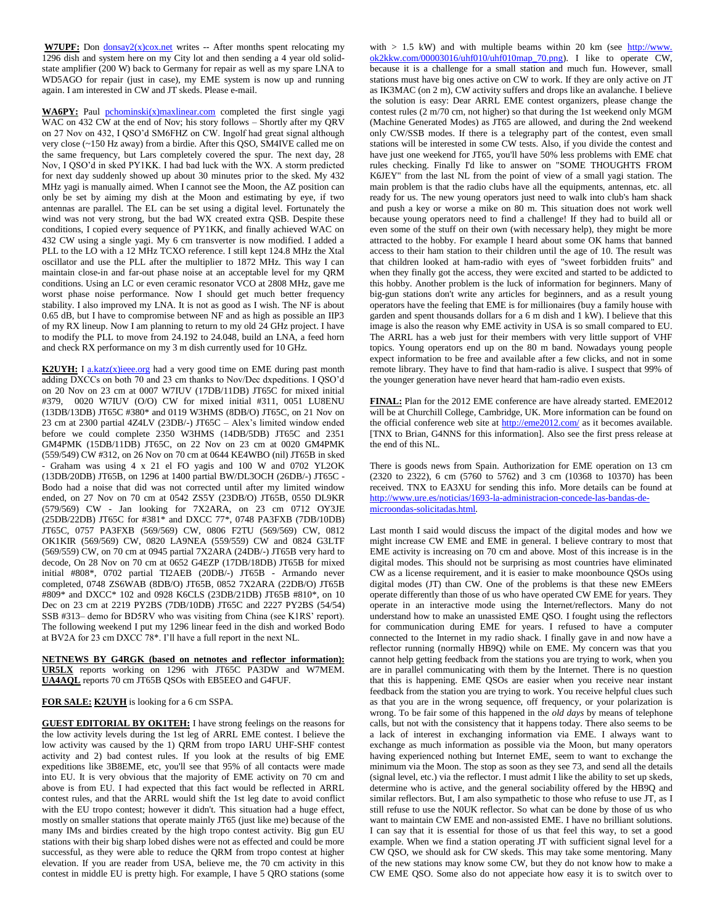**W7UPF:** Don <u>donsay2(x)cox.net</u> writes -- After months spent relocating my 1296 dish and system here on my City lot and then sending a 4 year old solidstate amplifier (200 W) back to Germany for repair as well as my spare LNA to WD5AGO for repair (just in case), my EME system is now up and running again. I am interested in CW and JT skeds. Please e-mail.

WA6PY: Paul [pchominski\(x\)maxlinear.com](mailto:pchominski@maxlinear.com) completed the first single yagi WAC on 432 CW at the end of Nov; his story follows – Shortly after my QRV on 27 Nov on 432, I QSO'd SM6FHZ on CW. Ingolf had great signal although very close (~150 Hz away) from a birdie. After this QSO, SM4IVE called me on the same frequency, but Lars completely covered the spur. The next day, 28 Nov, I QSO'd in sked PY1KK. I had bad luck with the WX. A storm predicted for next day suddenly showed up about 30 minutes prior to the sked. My 432 MHz yagi is manually aimed. When I cannot see the Moon, the AZ position can only be set by aiming my dish at the Moon and estimating by eye, if two antennas are parallel. The EL can be set using a digital level. Fortunately the wind was not very strong, but the bad WX created extra QSB. Despite these conditions, I copied every sequence of PY1KK, and finally achieved WAC on 432 CW using a single yagi. My 6 cm transverter is now modified. I added a PLL to the LO with a 12 MHz TCXO reference. I still kept 124.8 MHz the Xtal oscillator and use the PLL after the multiplier to 1872 MHz. This way I can maintain close-in and far-out phase noise at an acceptable level for my QRM conditions. Using an LC or even ceramic resonator VCO at 2808 MHz, gave me worst phase noise performance. Now I should get much better frequency stability. I also improved my LNA. It is not as good as I wish. The NF is about 0.65 dB, but I have to compromise between NF and as high as possible an IIP3 of my RX lineup. Now I am planning to return to my old 24 GHz project. I have to modify the PLL to move from 24.192 to 24.048, build an LNA, a feed horn and check RX performance on my 3 m dish currently used for 10 GHz.

**K2UYH:** I [a.katz\(x\)ieee.org](mailto:a.katz@ieee.org) had a very good time on EME during past month adding DXCCs on both 70 and 23 cm thanks to Nov/Dec dxpeditions. I QSO'd on 20 Nov on 23 cm at 0007 W7IUV (17DB/11DB) JT65C for mixed initial #379, 0020 W7IUV (O/O) CW for mixed initial #311, 0051 LU8ENU (13DB/13DB) JT65C #380\* and 0119 W3HMS (8DB/O) JT65C, on 21 Nov on 23 cm at 2300 partial 4Z4LV (23DB/-) JT65C – Alex's limited window ended before we could complete 2350 W3HMS (14DB/5DB) JT65C and 2351 GM4PMK (15DB/11DB) JT65C, on 22 Nov on 23 cm at 0020 GM4PMK (559/549) CW #312, on 26 Nov on 70 cm at 0644 KE4WBO (nil) JT65B in sked - Graham was using 4 x 21 el FO yagis and 100 W and 0702 YL2OK (13DB/20DB) JT65B, on 1296 at 1400 partial BW/DL3OCH (26DB/-) JT65C - Bodo had a noise that did was not corrected until after my limited window ended, on 27 Nov on 70 cm at 0542 ZS5Y (23DB/O) JT65B, 0550 DL9KR (579/569) CW - Jan looking for 7X2ARA, on 23 cm 0712 OY3JE (25DB/22DB) JT65C for #381\* and DXCC 77\*, 0748 PA3FXB (7DB/10DB) JT65C, 0757 PA3FXB (569/569) CW, 0806 F2TU (569/569) CW, 0812 OK1KIR (569/569) CW, 0820 LA9NEA (559/559) CW and 0824 G3LTF (569/559) CW, on 70 cm at 0945 partial 7X2ARA (24DB/-) JT65B very hard to decode, On 28 Nov on 70 cm at 0652 G4EZP (17DB/18DB) JT65B for mixed initial #808\*, 0702 partial TI2AEB (20DB/-) JT65B - Armando never completed, 0748 ZS6WAB (8DB/O) JT65B, 0852 7X2ARA (22DB/O) JT65B #809\* and DXCC\* 102 and 0928 K6CLS (23DB/21DB) JT65B #810\*, on 10 Dec on 23 cm at 2219 PY2BS (7DB/10DB) JT65C and 2227 PY2BS (54/54) SSB #313– demo for BD5RV who was visiting from China (see K1RS' report). The following weekend I put my 1296 linear feed in the dish and worked Bodo at BV2A for 23 cm DXCC 78\*. I'll have a full report in the next NL.

**NETNEWS BY G4RGK (based on netnotes and reflector information): UR5LX** reports working on 1296 with JT65C PA3DW and W7MEM. **UA4AQL** reports 70 cm JT65B QSOs with EB5EEO and G4FUF.

**FOR SALE: K2UYH** is looking for a 6 cm SSPA.

**GUEST EDITORIAL BY OK1TEH:** I have strong feelings on the reasons for the low activity levels during the 1st leg of ARRL EME contest. I believe the low activity was caused by the 1) QRM from tropo IARU UHF-SHF contest activity and 2) bad contest rules. If you look at the results of big EME expeditions like 3B8EME, etc, you'll see that 95% of all contacts were made into EU. It is very obvious that the majority of EME activity on 70 cm and above is from EU. I had expected that this fact would be reflected in ARRL contest rules, and that the ARRL would shift the 1st leg date to avoid conflict with the EU tropo contest; however it didn't. This situation had a huge effect, mostly on smaller stations that operate mainly JT65 (just like me) because of the many IMs and birdies created by the high tropo contest activity. Big gun EU stations with their big sharp lobed dishes were not as effected and could be more successful, as they were able to reduce the QRM from tropo contest at higher elevation. If you are reader from USA, believe me, the 70 cm activity in this contest in middle EU is pretty high. For example, I have 5 QRO stations (some with  $> 1.5$  kW) and with multiple beams within 20 km (see  $\frac{http://www.}{http://www.}$ ok2kkw.com/00003016/uhf010/uhf010map\_70.png). I like to operate CW, because it is a challenge for a small station and much fun. However, small stations must have big ones active on CW to work. If they are only active on JT as IK3MAC (on 2 m), CW activity suffers and drops like an avalanche. I believe the solution is easy: Dear ARRL EME contest organizers, please change the contest rules (2 m/70 cm, not higher) so that during the 1st weekend only MGM (Machine Generated Modes) as JT65 are allowed, and during the 2nd weekend only CW/SSB modes. If there is a telegraphy part of the contest, even small stations will be interested in some CW tests. Also, if you divide the contest and have just one weekend for JT65, you'll have 50% less problems with EME chat rules checking. Finally I'd like to answer on "SOME THOUGHTS FROM K6JEY" from the last NL from the point of view of a small yagi station. The main problem is that the radio clubs have all the equipments, antennas, etc. all ready for us. The new young operators just need to walk into club's ham shack and push a key or worse a mike on 80 m. This situation does not work well because young operators need to find a challenge! If they had to build all or even some of the stuff on their own (with necessary help), they might be more attracted to the hobby. For example I heard about some OK hams that banned access to their ham station to their children until the age of 10. The result was that children looked at ham-radio with eyes of "sweet forbidden fruits" and when they finally got the access, they were excited and started to be addicted to this hobby. Another problem is the luck of information for beginners. Many of big-gun stations don't write any articles for beginners, and as a result young operators have the feeling that EME is for millionaires (buy a family house with garden and spent thousands dollars for a 6 m dish and 1 kW). I believe that this image is also the reason why EME activity in USA is so small compared to EU. The ARRL has a web just for their members with very little support of VHF topics. Young operators end up on the 80 m band. Nowadays young people expect information to be free and available after a few clicks, and not in some remote library. They have to find that ham-radio is alive. I suspect that 99% of the younger generation have never heard that ham-radio even exists.

**FINAL:** Plan for the 2012 EME conference are have already started. EME2012 will be at Churchill College, Cambridge, UK. More information can be found on the official conference web site at  $\frac{http://eme2012.com/}{http://eme2012.com/}$  as it becomes available. [TNX to Brian, G4NNS for this information]. Also see the first press release at the end of this NL.

There is goods news from Spain. Authorization for EME operation on 13 cm (2320 to 2322), 6 cm (5760 to 5762) and 3 cm (10368 to 10370) has been received. TNX to EA3XU for sending this info. More details can be found at [http://www.ure.es/noticias/1693-la-administracion-concede-las-bandas-de](http://www.ure.es/noticias/1693-la-administracion-concede-las-bandas-de-microondas-solicitadas.html)[microondas-solicitadas.html.](http://www.ure.es/noticias/1693-la-administracion-concede-las-bandas-de-microondas-solicitadas.html)

Last month I said would discuss the impact of the digital modes and how we might increase CW EME and EME in general. I believe contrary to most that EME activity is increasing on 70 cm and above. Most of this increase is in the digital modes. This should not be surprising as most countries have eliminated CW as a license requirement, and it is easier to make moonbounce QSOs using digital modes (JT) than CW. One of the problems is that these new EMEers operate differently than those of us who have operated CW EME for years. They operate in an interactive mode using the Internet/reflectors. Many do not understand how to make an unassisted EME QSO. I fought using the reflectors for communication during EME for years. I refused to have a computer connected to the Internet in my radio shack. I finally gave in and now have a reflector running (normally HB9Q) while on EME. My concern was that you cannot help getting feedback from the stations you are trying to work, when you are in parallel communicating with them by the Internet. There is no question that this is happening. EME QSOs are easier when you receive near instant feedback from the station you are trying to work. You receive helpful clues such as that you are in the wrong sequence, off frequency, or your polarization is wrong. To be fair some of this happened in the *old days* by means of telephone calls, but not with the consistency that it happens today. There also seems to be a lack of interest in exchanging information via EME. I always want to exchange as much information as possible via the Moon, but many operators having experienced nothing but Internet EME, seem to want to exchange the minimum via the Moon. The stop as soon as they see 73, and send all the details (signal level, etc.) via the reflector. I must admit I like the ability to set up skeds, determine who is active, and the general sociability offered by the HB9Q and similar reflectors. But, I am also sympathetic to those who refuse to use JT, as I still refuse to use the N0UK reflector. So what can be done by those of us who want to maintain CW EME and non-assisted EME. I have no brilliant solutions. I can say that it is essential for those of us that feel this way, to set a good example. When we find a station operating JT with sufficient signal level for a CW QSO, we should ask for CW skeds. This may take some mentoring. Many of the new stations may know some CW, but they do not know how to make a CW EME QSO. Some also do not appeciate how easy it is to switch over to